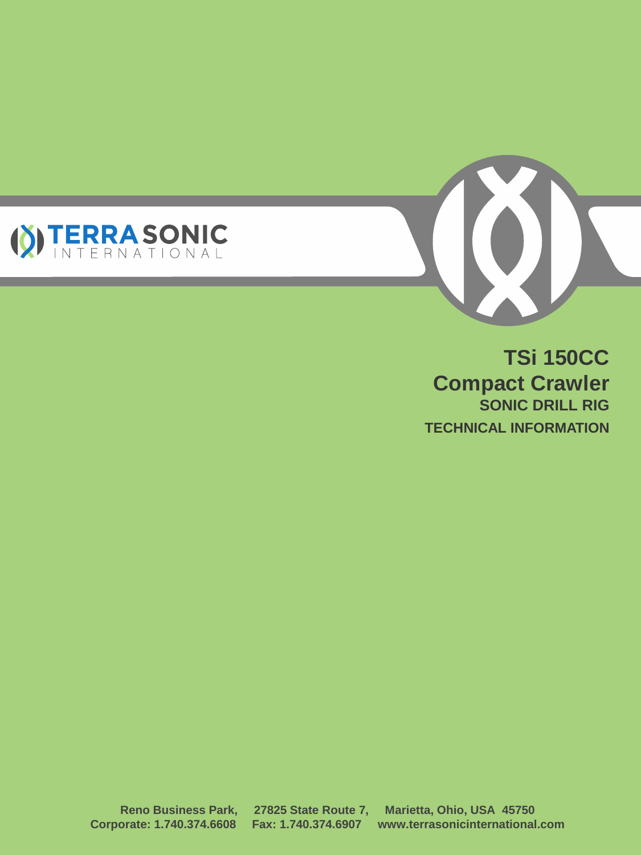



**TSi 150CC Compact Crawler SONIC DRILL RIG TECHNICAL INFORMATION**

**Reno Business Park, 27825 State Route 7, Marietta, Ohio, USA 45750 Corporate: 1.740.374.6608 Fax: 1.740.374.6907 www.terrasonicinternational.com**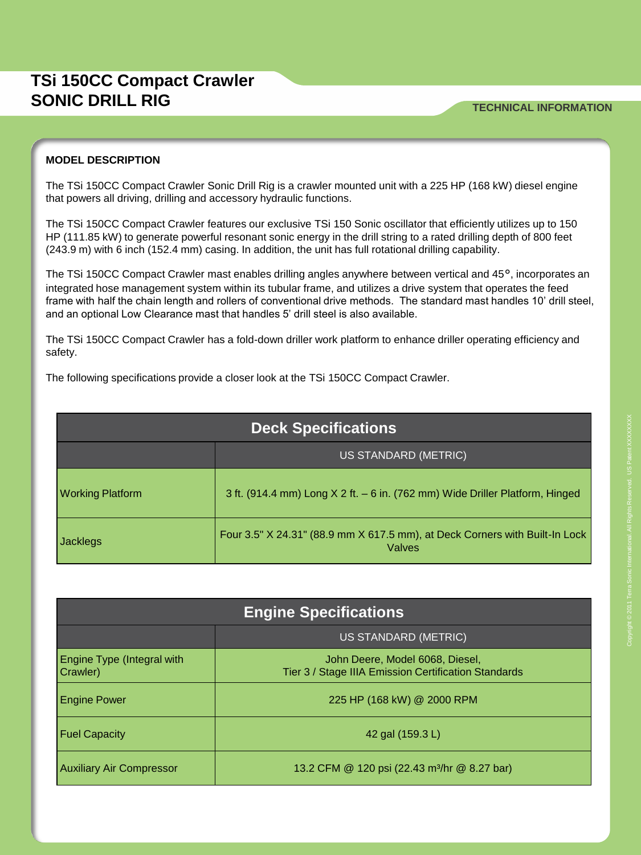#### **TSi 150CC Compact Crawler SONIC DRILL RIG TECHNICAL INFORMATION**

#### **MODEL DESCRIPTION**

The TSi 150CC Compact Crawler Sonic Drill Rig is a crawler mounted unit with a 225 HP (168 kW) diesel engine that powers all driving, drilling and accessory hydraulic functions.

The TSi 150CC Compact Crawler features our exclusive TSi 150 Sonic oscillator that efficiently utilizes up to 150 HP (111.85 kW) to generate powerful resonant sonic energy in the drill string to a rated drilling depth of 800 feet (243.9 m) with 6 inch (152.4 mm) casing. In addition, the unit has full rotational drilling capability.

The TSi 150CC Compact Crawler mast enables drilling angles anywhere between vertical and 45°, incorporates an integrated hose management system within its tubular frame, and utilizes a drive system that operates the feed frame with half the chain length and rollers of conventional drive methods. The standard mast handles 10' drill steel, and an optional Low Clearance mast that handles 5' drill steel is also available.

The TSi 150CC Compact Crawler has a fold-down driller work platform to enhance driller operating efficiency and safety.

The following specifications provide a closer look at the TSi 150CC Compact Crawler.

| <b>Deck Specifications</b> |                                                                                       |  |
|----------------------------|---------------------------------------------------------------------------------------|--|
|                            | US STANDARD (METRIC)                                                                  |  |
| <b>Working Platform</b>    | 3 ft. (914.4 mm) Long X 2 ft. - 6 in. (762 mm) Wide Driller Platform, Hinged          |  |
| Jacklegs                   | Four 3.5" X 24.31" (88.9 mm X 617.5 mm), at Deck Corners with Built-In Lock<br>Valves |  |

| <b>Engine Specifications</b>                  |                                                                                         |  |
|-----------------------------------------------|-----------------------------------------------------------------------------------------|--|
|                                               | US STANDARD (METRIC)                                                                    |  |
| <b>Engine Type (Integral with</b><br>Crawler) | John Deere, Model 6068, Diesel,<br>Tier 3 / Stage IIIA Emission Certification Standards |  |
| <b>Engine Power</b>                           | 225 HP (168 kW) @ 2000 RPM                                                              |  |
| <b>Fuel Capacity</b>                          | 42 gal (159.3 L)                                                                        |  |
| <b>Auxiliary Air Compressor</b>               | 13.2 CFM @ 120 psi (22.43 m <sup>3</sup> /hr @ 8.27 bar)                                |  |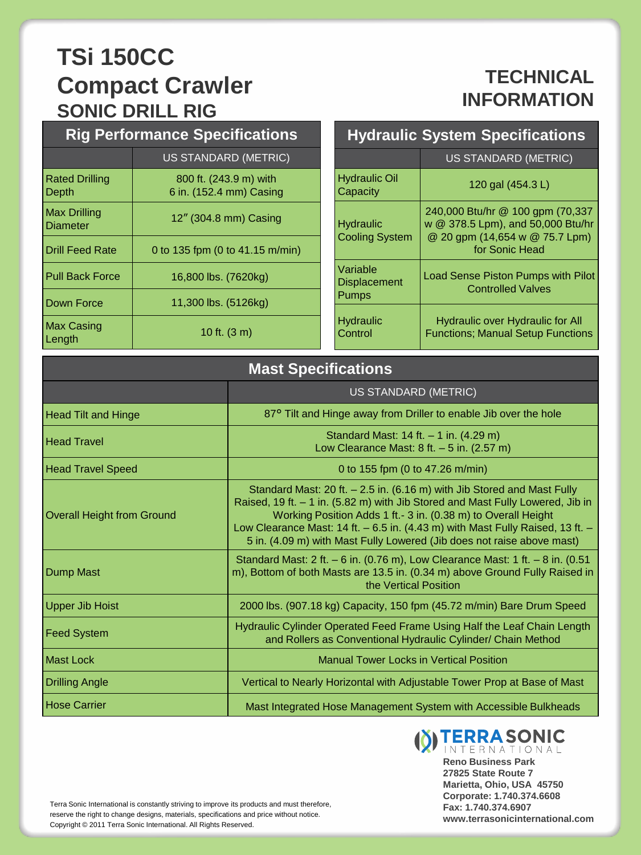## **TECHNICAL INFORMATION**

| <b>Rig Performance Specifications</b> |                                                   |  |  |
|---------------------------------------|---------------------------------------------------|--|--|
|                                       | <b>US STANDARD (METRIC)</b>                       |  |  |
| <b>Rated Drilling</b><br>Depth        | 800 ft. (243.9 m) with<br>6 in. (152.4 mm) Casing |  |  |
| Max Drilling<br>Diameter              | 12" (304.8 mm) Casing                             |  |  |
| <b>Drill Feed Rate</b>                | 0 to 135 fpm (0 to 41.15 m/min)                   |  |  |
| <b>Pull Back Force</b>                | 16,800 lbs. (7620kg)                              |  |  |
| Down Force                            | 11,300 lbs. (5126kg)                              |  |  |
| Max Casing<br>Length                  | 10 ft. $(3 \text{ m})$                            |  |  |

| <b>Hydraulic System Specifications</b>    |                                                                                                                           |  |
|-------------------------------------------|---------------------------------------------------------------------------------------------------------------------------|--|
|                                           | US STANDARD (METRIC)                                                                                                      |  |
| <b>Hydraulic Oil</b><br>Capacity          | 120 gal (454.3 L)                                                                                                         |  |
| <b>Hydraulic</b><br><b>Cooling System</b> | 240,000 Btu/hr @ 100 gpm (70,337<br>w @ 378.5 Lpm), and 50,000 Btu/hr<br>@ 20 gpm (14,654 w @ 75.7 Lpm)<br>for Sonic Head |  |
| Variable<br><b>Displacement</b><br>Pumps  | <b>Load Sense Piston Pumps with Pilot</b><br><b>Controlled Valves</b>                                                     |  |
| <b>Hydraulic</b><br>Control               | <b>Hydraulic over Hydraulic for All</b><br><b>Functions: Manual Setup Functions</b>                                       |  |

| <b>Mast Specifications</b>        |                                                                                                                                                                                                                                                                                                                                                                                         |  |
|-----------------------------------|-----------------------------------------------------------------------------------------------------------------------------------------------------------------------------------------------------------------------------------------------------------------------------------------------------------------------------------------------------------------------------------------|--|
|                                   | <b>US STANDARD (METRIC)</b>                                                                                                                                                                                                                                                                                                                                                             |  |
| <b>Head Tilt and Hinge</b>        | 87° Tilt and Hinge away from Driller to enable Jib over the hole                                                                                                                                                                                                                                                                                                                        |  |
| <b>Head Travel</b>                | Standard Mast: $14$ ft. $- 1$ in. (4.29 m)<br>Low Clearance Mast: $8$ ft. $-5$ in. (2.57 m)                                                                                                                                                                                                                                                                                             |  |
| <b>Head Travel Speed</b>          | 0 to 155 fpm (0 to 47.26 m/min)                                                                                                                                                                                                                                                                                                                                                         |  |
| <b>Overall Height from Ground</b> | Standard Mast: 20 ft. $-2.5$ in. (6.16 m) with Jib Stored and Mast Fully<br>Raised, 19 ft. - 1 in. (5.82 m) with Jib Stored and Mast Fully Lowered, Jib in<br>Working Position Adds 1 ft.- 3 in. (0.38 m) to Overall Height<br>Low Clearance Mast: 14 ft. - 6.5 in. (4.43 m) with Mast Fully Raised, 13 ft. -<br>5 in. (4.09 m) with Mast Fully Lowered (Jib does not raise above mast) |  |
| Dump Mast                         | Standard Mast: 2 ft. - 6 in. (0.76 m), Low Clearance Mast: 1 ft. - 8 in. (0.51<br>m), Bottom of both Masts are 13.5 in. (0.34 m) above Ground Fully Raised in<br>the Vertical Position                                                                                                                                                                                                  |  |
| <b>Upper Jib Hoist</b>            | 2000 lbs. (907.18 kg) Capacity, 150 fpm (45.72 m/min) Bare Drum Speed                                                                                                                                                                                                                                                                                                                   |  |
| Feed System                       | Hydraulic Cylinder Operated Feed Frame Using Half the Leaf Chain Length<br>and Rollers as Conventional Hydraulic Cylinder/ Chain Method                                                                                                                                                                                                                                                 |  |
| Mast Lock                         | <b>Manual Tower Locks in Vertical Position</b>                                                                                                                                                                                                                                                                                                                                          |  |
| Drilling Angle                    | Vertical to Nearly Horizontal with Adjustable Tower Prop at Base of Mast                                                                                                                                                                                                                                                                                                                |  |
| Hose Carrier                      | Mast Integrated Hose Management System with Accessible Bulkheads                                                                                                                                                                                                                                                                                                                        |  |



**Reno Business Park 27825 State Route 7 Marietta, Ohio, USA 45750 Corporate: 1.740.374.6608 Fax: 1.740.374.6907 www.terrasonicinternational.com**

Terra Sonic International is constantly striving to improve its products and must therefore, reserve the right to change designs, materials, specifications and price without notice. Copyright © 2011 Terra Sonic International. All Rights Reserved.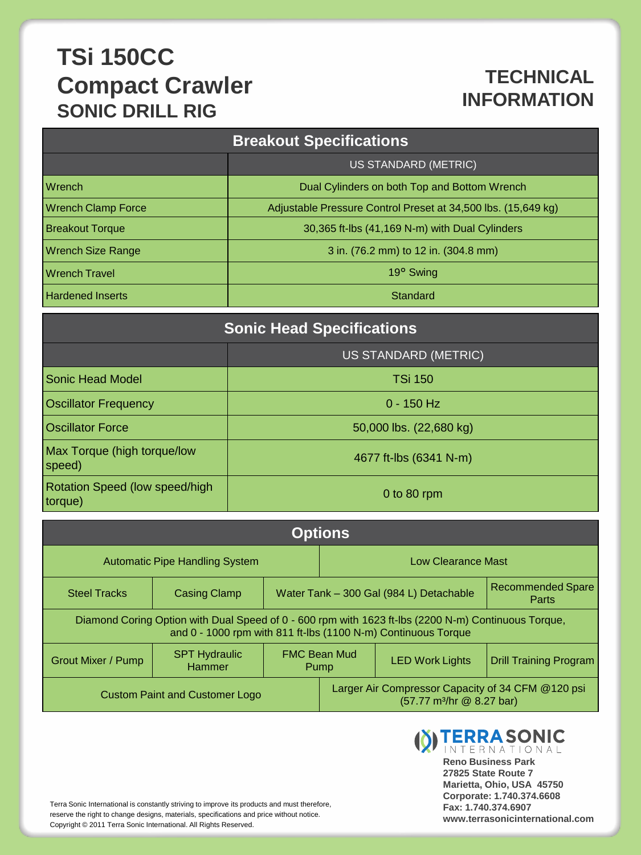### **TECHNICAL INFORMATION**

| <b>Breakout Specifications</b> |                                                               |  |  |  |
|--------------------------------|---------------------------------------------------------------|--|--|--|
|                                | US STANDARD (METRIC)                                          |  |  |  |
| Wrench                         | Dual Cylinders on both Top and Bottom Wrench                  |  |  |  |
| <b>Wrench Clamp Force</b>      | Adjustable Pressure Control Preset at 34,500 lbs. (15,649 kg) |  |  |  |
| <b>Breakout Torque</b>         | 30,365 ft-lbs (41,169 N-m) with Dual Cylinders                |  |  |  |
| <b>Wrench Size Range</b>       | 3 in. (76.2 mm) to 12 in. (304.8 mm)                          |  |  |  |
| <b>Wrench Travel</b>           | 19° Swing                                                     |  |  |  |
| <b>Hardened Inserts</b>        | Standard                                                      |  |  |  |

| <b>Sonic Head Specifications</b>          |                             |  |  |
|-------------------------------------------|-----------------------------|--|--|
|                                           | <b>US STANDARD (METRIC)</b> |  |  |
| Sonic Head Model                          | <b>TSi 150</b>              |  |  |
| <b>Oscillator Frequency</b>               | $0 - 150$ Hz                |  |  |
| <b>Oscillator Force</b>                   | 50,000 lbs. (22,680 kg)     |  |  |
| Max Torque (high torque/low<br>speed)     | 4677 ft-lbs (6341 N-m)      |  |  |
| Rotation Speed (low speed/high<br>torque) | 0 to $80$ rpm               |  |  |

| <b>Options</b>                                                                                                                                                       |                                |                                                                                            |  |                        |                                   |
|----------------------------------------------------------------------------------------------------------------------------------------------------------------------|--------------------------------|--------------------------------------------------------------------------------------------|--|------------------------|-----------------------------------|
| <b>Automatic Pipe Handling System</b>                                                                                                                                |                                | Low Clearance Mast                                                                         |  |                        |                                   |
| <b>Steel Tracks</b>                                                                                                                                                  | <b>Casing Clamp</b>            | Water Tank - 300 Gal (984 L) Detachable                                                    |  |                        | <b>Recommended Spare</b><br>Parts |
| Diamond Coring Option with Dual Speed of 0 - 600 rpm with 1623 ft-lbs (2200 N-m) Continuous Torque,<br>and 0 - 1000 rpm with 811 ft-lbs (1100 N-m) Continuous Torque |                                |                                                                                            |  |                        |                                   |
| <b>Grout Mixer / Pump</b>                                                                                                                                            | <b>SPT Hydraulic</b><br>Hammer | <b>FMC Bean Mud</b><br>Pump                                                                |  | <b>LED Work Lights</b> | <b>Drill Training Program</b>     |
| <b>Custom Paint and Customer Logo</b>                                                                                                                                |                                | Larger Air Compressor Capacity of 34 CFM @120 psi<br>(57.77 m <sup>3</sup> /hr @ 8.27 bar) |  |                        |                                   |

Terra Sonic International is constantly striving to improve its products and must therefore, reserve the right to change designs, materials, specifications and price without notice. Copyright © 2011 Terra Sonic International. All Rights Reserved.

**(8) TERRASONIC Reno Business Park 27825 State Route 7 Marietta, Ohio, USA 45750 Corporate: 1.740.374.6608 Fax: 1.740.374.6907 www.terrasonicinternational.com**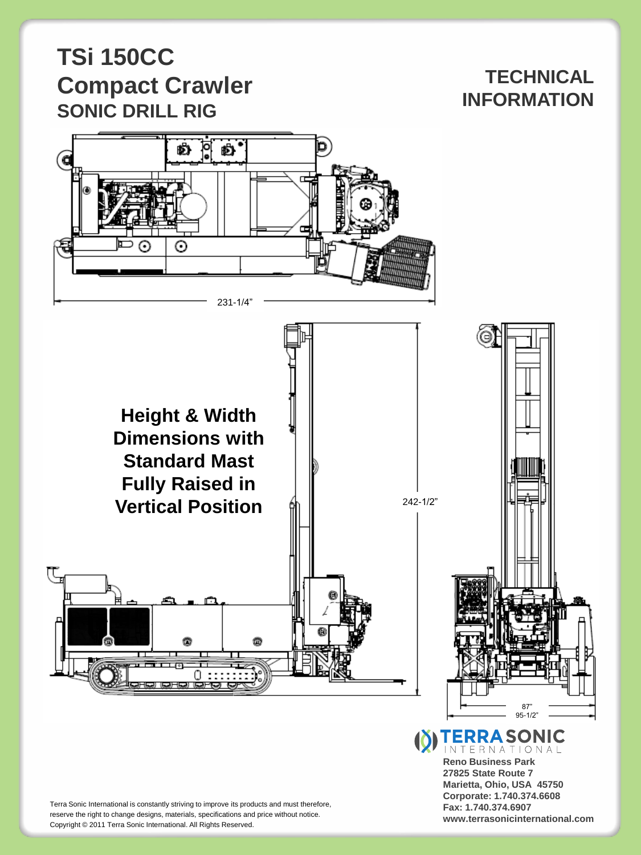#### **TECHNICAL INFORMATION**



**Height & Width Dimensions with Standard Mast Fully Raised in Vertical Position**



**(X) TERRA SONIC** INTERNATIONAL **Reno Business Park**

**27825 State Route 7 Marietta, Ohio, USA 45750 Corporate: 1.740.374.6608 Fax: 1.740.374.6907 www.terrasonicinternational.com**

Terra Sonic International is constantly striving to improve its products and must therefore, reserve the right to change designs, materials, specifications and price without notice. Copyright © 2011 Terra Sonic International. All Rights Reserved.

0 :::::::::):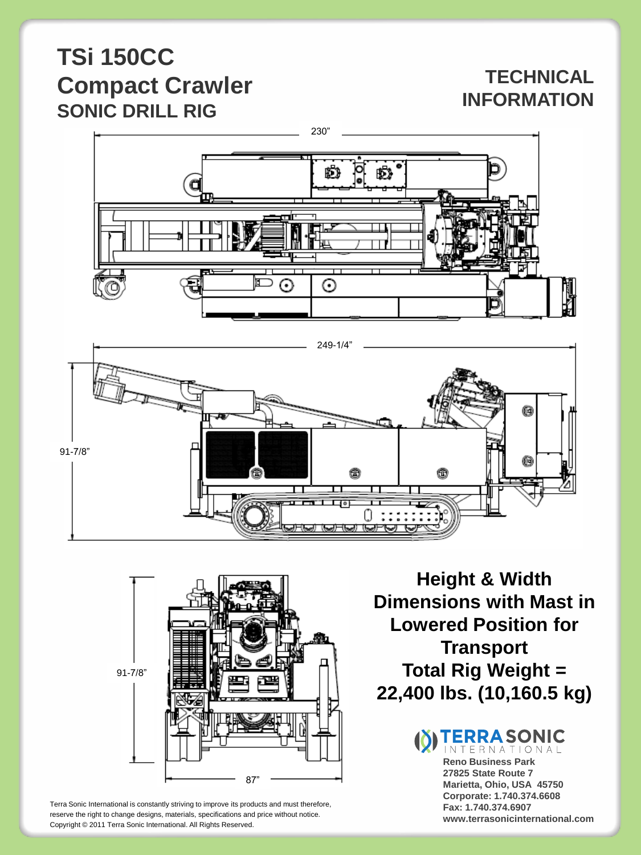#### **TECHNICAL INFORMATION**







Terra Sonic International is constantly striving to improve its products and must therefore, reserve the right to change designs, materials, specifications and price without notice. Copyright © 2011 Terra Sonic International. All Rights Reserved.

**Height & Width Dimensions with Mast in Lowered Position for Transport Total Rig Weight = 22,400 lbs. (10,160.5 kg)**

> **TERRA SONIC** INTERNATIONAL **Reno Business Park 27825 State Route 7 Marietta, Ohio, USA 45750 Corporate: 1.740.374.6608 Fax: 1.740.374.6907 www.terrasonicinternational.com**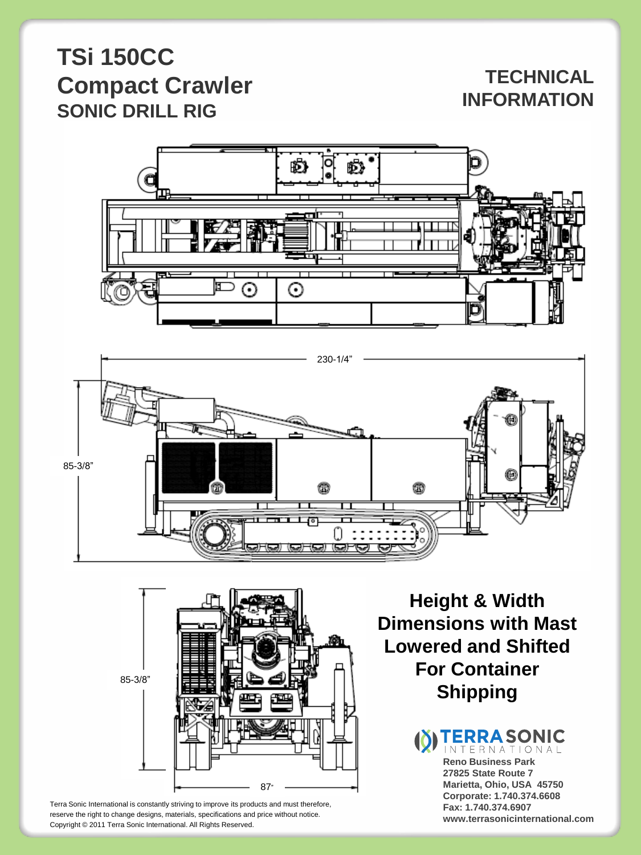#### **TECHNICAL INFORMATION**







Terra Sonic International is constantly striving to improve its products and must therefore, reserve the right to change designs, materials, specifications and price without notice. Copyright © 2011 Terra Sonic International. All Rights Reserved.

**Height & Width Dimensions with Mast Lowered and Shifted For Container Shipping**

> **(8) TERRA SONIC** INTERNATIONAL **Reno Business Park 27825 State Route 7 Marietta, Ohio, USA 45750 Corporate: 1.740.374.6608 Fax: 1.740.374.6907 www.terrasonicinternational.com**